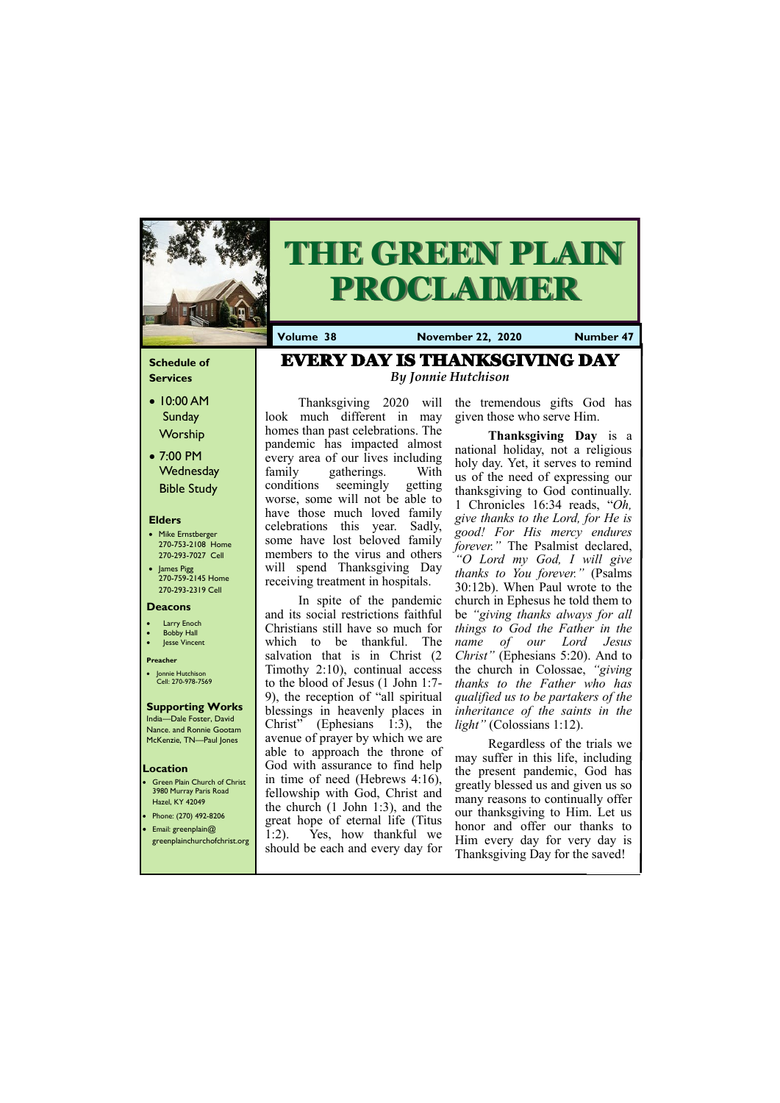#### **Schedule of Services**

- 10:00 AM **Sunday Worship**
- 7:00 PM **Wednesday** Bible Study

#### **Elders**

- Mike Ernstberger 270-753-2108 Home 270-293-7027 Cell
- James Pigg 270-759-2145 Home 270-293-2319 Cell



# **THE GREEN PLAIN PROCLAIMER**

#### **Location**

- Green Plain Church of Christ 3980 Murray Paris Road Hazel, KY 42049 • Phone: (270) 492-8206
- Email: greenplain@

**Volume 38 November 22, 2020 Number 47**

#### **Deacons**

- **Larry Enoch**
- **Bobby Hall**
- Jesse Vincent

#### **Preacher**

• Jonnie Hutchison Cell: 270-978-7569

#### **Supporting Works** India—Dale Foster, David

Nance. and Ronnie Gootam McKenzie, TN—Paul Jones

Thanksgiving 2020 will look much different in may homes than past celebrations. The pandemic has impacted almost every area of our lives including family gatherings. With conditions seemingly getting worse, some will not be able to have those much loved family celebrations this year. Sadly, some have lost beloved family members to the virus and others will spend Thanksgiving Day receiving treatment in hospitals.

In spite of the pandemic and its social restrictions faithful Christians still have so much for which to be thankful. The salvation that is in Christ (2) Timothy 2:10), continual access to the blood of Jesus (1 John 1:7- 9), the reception of "all spiritual blessings in heavenly places in Christ" (Ephesians 1:3), the avenue of prayer by which we are able to approach the throne of God with assurance to find help in time of need (Hebrews 4:16), fellowship with God, Christ and the church (1 John 1:3), and the great hope of eternal life (Titus

greenplainchurchofchrist.org 1:2). Yes, how thankful we should be each and every day for Him every day for very day is Thanksgiving Day for the saved!

the tremendous gifts God has given those who serve Him.

**Thanksgiving Day** is a national holiday, not a religious holy day. Yet, it serves to remind us of the need of expressing our thanksgiving to God continually. 1 Chronicles 16:34 reads, "*Oh, give thanks to the Lord, for He is good! For His mercy endures forever."* The Psalmist declared, *"O Lord my God, I will give thanks to You forever."* (Psalms 30:12b). When Paul wrote to the church in Ephesus he told them to be *"giving thanks always for all things to God the Father in the name of our Lord Jesus Christ"* (Ephesians 5:20). And to the church in Colossae, *"giving thanks to the Father who has qualified us to be partakers of the inheritance of the saints in the light"* (Colossians 1:12).

Regardless of the trials we may suffer in this life, including the present pandemic, God has greatly blessed us and given us so many reasons to continually offer our thanksgiving to Him. Let us honor and offer our thanks to

## EVERY DAY IS THANKSGIVING DAY *By Jonnie Hutchison*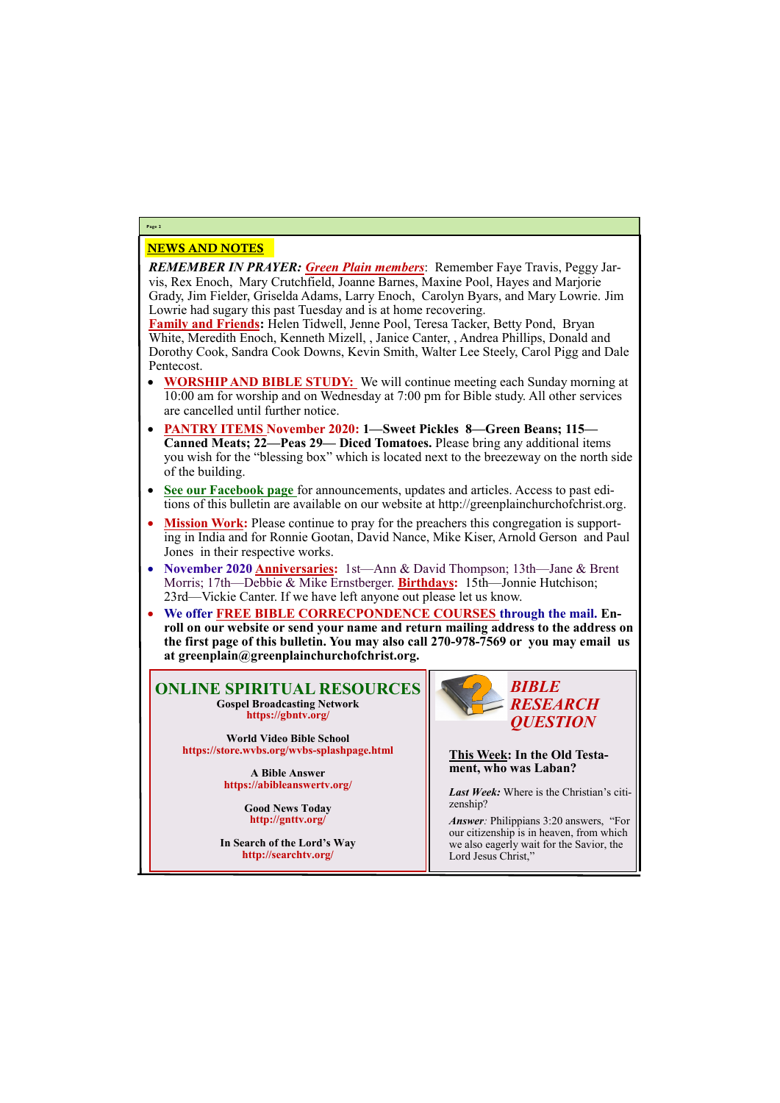#### NEWS AND NOTES

*REMEMBER IN PRAYER: Green Plain members*: Remember Faye Travis, Peggy Jarvis, Rex Enoch, Mary Crutchfield, Joanne Barnes, Maxine Pool, Hayes and Marjorie Grady, Jim Fielder, Griselda Adams, Larry Enoch, Carolyn Byars, and Mary Lowrie. Jim Lowrie had sugary this past Tuesday and is at home recovering.

**Family and Friends:** Helen Tidwell, Jenne Pool, Teresa Tacker, Betty Pond, Bryan White, Meredith Enoch, Kenneth Mizell, , Janice Canter, , Andrea Phillips, Donald and Dorothy Cook, Sandra Cook Downs, Kevin Smith, Walter Lee Steely, Carol Pigg and Dale Pentecost.

- **WORSHIP AND BIBLE STUDY:** We will continue meeting each Sunday morning at 10:00 am for worship and on Wednesday at 7:00 pm for Bible study. All other services are cancelled until further notice.
- **PANTRY ITEMS November 2020: 1—Sweet Pickles 8—Green Beans; 115— Canned Meats; 22—Peas 29— Diced Tomatoes.** Please bring any additional items you wish for the "blessing box" which is located next to the breezeway on the north side of the building.
- **See our Facebook page** for announcements, updates and articles. Access to past editions of this bulletin are available on our website at http://greenplainchurchofchrist.org.
- **Mission Work:** Please continue to pray for the preachers this congregation is supporting in India and for Ronnie Gootan, David Nance, Mike Kiser, Arnold Gerson and Paul Jones in their respective works.
- **November 2020 Anniversaries:** 1st—Ann & David Thompson; 13th—Jane & Brent Morris; 17th—Debbie & Mike Ernstberger. **Birthdays:** 15th—Jonnie Hutchison; 23rd—Vickie Canter. If we have left anyone out please let us know.
- **We offer FREE BIBLE CORRECPONDENCE COURSES through the mail. Enroll on our website or send your name and return mailing address to the address on the first page of this bulletin. You may also call 270-978-7569 or you may email us at greenplain@greenplainchurchofchrist.org.**

#### **Page 2**

**ONLINE SPIRITUAL RESOURCES Gospel Broadcasting Network https://gbntv.org/**

**World Video Bible School https://store.wvbs.org/wvbs-splashpage.html**

> **A Bible Answer https://abibleanswertv.org/**

> > **Good News Today http://gnttv.org/**

**In Search of the Lord's Way http://searchtv.org/**



**This Week: In the Old Testament, who was Laban?**

*Last Week:* Where is the Christian's citizenship?

*Answer:* Philippians 3:20 answers, "For our citizenship is in heaven, from which we also eagerly wait for the Savior, the Lord Jesus Christ,"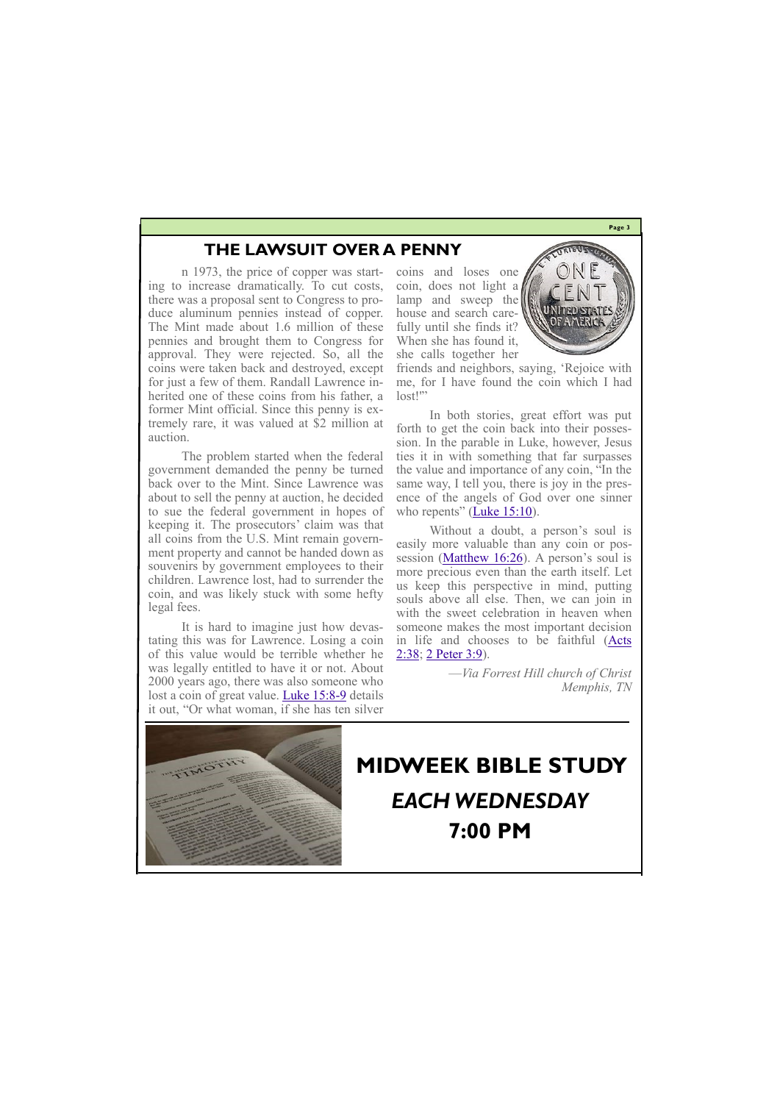**Page 3**

### **THE LAWSUIT OVER A PENNY**

n 1973, the price of copper was starting to increase dramatically. To cut costs, there was a proposal sent to Congress to produce aluminum pennies instead of copper. The Mint made about 1.6 million of these pennies and brought them to Congress for approval. They were rejected. So, all the coins were taken back and destroyed, except for just a few of them. Randall Lawrence inherited one of these coins from his father, a former Mint official. Since this penny is extremely rare, it was valued at \$2 million at auction.

friends and neighbors, saying, 'Rejoice with me, for I have found the coin which I had lost!"

The problem started when the federal government demanded the penny be turned back over to the Mint. Since Lawrence was about to sell the penny at auction, he decided to sue the federal government in hopes of keeping it. The prosecutors' claim was that all coins from the U.S. Mint remain government property and cannot be handed down as souvenirs by government employees to their children. Lawrence lost, had to surrender the coin, and was likely stuck with some hefty legal fees.

In both stories, great effort was put forth to get the coin back into their possession. In the parable in Luke, however, Jesus ties it in with something that far surpasses the value and importance of any coin, "In the same way, I tell you, there is joy in the presence of the angels of God over one sinner who repents"  $(\underline{\text{Luke 15:10}})$ .

It is hard to imagine just how devastating this was for Lawrence. Losing a coin of this value would be terrible whether he was legally entitled to have it or not. About 2000 years ago, there was also someone who lost a coin of great value. [Luke 15:8](https://foresthillcofc.us17.list-manage.com/track/click?u=38366b3bdcea6044f190a0601&id=f72684659a&e=b492ca18f7)-9 details it out, "Or what woman, if she has ten silver coins and loses one coin, does not light a lamp and sweep the house and search carefully until she finds it? When she has found it, she calls together her



Without a doubt, a person's soul is easily more valuable than any coin or possession [\(Matthew 16:26\)](https://foresthillcofc.us17.list-manage.com/track/click?u=38366b3bdcea6044f190a0601&id=23898a6734&e=b492ca18f7). A person's soul is more precious even than the earth itself. Let us keep this perspective in mind, putting souls above all else. Then, we can join in with the sweet celebration in heaven when someone makes the most important decision in life and chooses to be faithful [\(Acts](https://foresthillcofc.us17.list-manage.com/track/click?u=38366b3bdcea6044f190a0601&id=a9e8b194ac&e=b492ca18f7)  [2:38;](https://foresthillcofc.us17.list-manage.com/track/click?u=38366b3bdcea6044f190a0601&id=a9e8b194ac&e=b492ca18f7) [2 Peter 3:9\).](https://foresthillcofc.us17.list-manage.com/track/click?u=38366b3bdcea6044f190a0601&id=84f0d454c4&e=b492ca18f7)

> —*Via Forrest Hill church of Christ Memphis, TN*

# **MIDWEEK BIBLE STUDY**